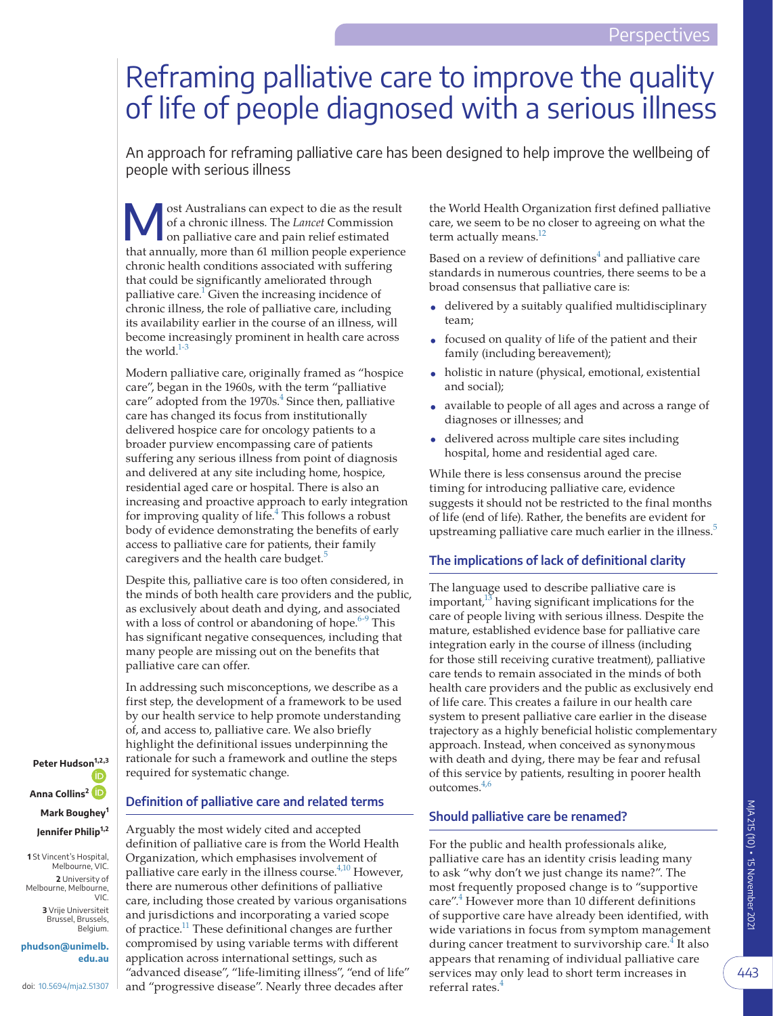# Reframing palliative care to improve the quality of life of people diagnosed with a serious illness

An approach for reframing palliative care has been designed to help improve the wellbeing of people with serious illness

ost Australians can expect to die as the result<br>of a chronic illness. The *Lancet* Commission<br>on palliative care and pain relief estimated<br>that any classificant can be an experience of a chronic illness. The *Lancet* Commission that annually, more than 61 million people experience chronic health conditions associated with suffering that could be significantly ameliorated through palliative care.<sup>1</sup> Given the increasing incidence of chronic illness, the role of palliative care, including its availability earlier in the course of an illness, will become increasingly prominent in health care across the world.<sup>1-3</sup>

Modern palliative care, originally framed as "hospice care", began in the 1960s, with the term "palliative care" adopted from the  $1970s<sup>4</sup>$  Since then, palliative care has changed its focus from institutionally delivered hospice care for oncology patients to a broader purview encompassing care of patients suffering any serious illness from point of diagnosis and delivered at any site including home, hospice, residential aged care or hospital. There is also an increasing and proactive approach to early integration for improving quality of life.<sup>[4](#page-3-1)</sup> This follows a robust body of evidence demonstrating the benefits of early access to palliative care for patients, their family caregivers and the health care budget.<sup>[5](#page-3-2)</sup>

Despite this, palliative care is too often considered, in the minds of both health care providers and the public, as exclusively about death and dying, and associated with a loss of control or abandoning of hope. $6-9$  This has significant negative consequences, including that many people are missing out on the benefits that palliative care can offer.

In addressing such misconceptions, we describe as a first step, the development of a framework to be used by our health service to help promote understanding of, and access to, palliative care. We also briefly highlight the definitional issues underpinning the rationale for such a framework and outline the steps required for systematic change.

**Peter Hudso[n](https://orcid.org/0000-0001-5891-8197)1,2,3 Anna Collins<sup>2</sup> Mark Boughey<sup>1</sup> Jennifer Philip1,2**

**1** St Vincent's Hospital, Melbourne, VIC. **2** University of Melbourne, Melbourne, VIC.

> **3** Vrije Universiteit Brussel, Brussels, Belgium.

**phudson@unimelb. edu.au**

doi: [10.5694/mja2.51307](https://doi.org/10.5694/mja2.51307)

## **Definition of palliative care and related terms**

Arguably the most widely cited and accepted definition of palliative care is from the World Health Organization, which emphasises involvement of palliative care early in the illness course.<sup>[4,10](#page-3-1)</sup> However, there are numerous other definitions of palliative care, including those created by various organisations and jurisdictions and incorporating a varied scope of practice.<sup>11</sup> These definitional changes are further compromised by using variable terms with different application across international settings, such as "advanced disease", "life-limiting illness", "end of life" and "progressive disease". Nearly three decades after

the World Health Organization first defined palliative care, we seem to be no closer to agreeing on what the term actually means.<sup>[12](#page-3-5)</sup>

Based on a review of definitions<sup>[4](#page-3-1)</sup> and palliative care standards in numerous countries, there seems to be a broad consensus that palliative care is:

- delivered by a suitably qualified multidisciplinary team;
- focused on quality of life of the patient and their family (including bereavement);
- holistic in nature (physical, emotional, existential and social);
- available to people of all ages and across a range of diagnoses or illnesses; and
- delivered across multiple care sites including hospital, home and residential aged care.

While there is less consensus around the precise timing for introducing palliative care, evidence suggests it should not be restricted to the final months of life (end of life). Rather, the benefits are evident for upstreaming palliative care much earlier in the illness.<sup>[5](#page-3-2)</sup>

## **The implications of lack of definitional clarity**

The language used to describe palliative care is important, $13$  having significant implications for the care of people living with serious illness. Despite the mature, established evidence base for palliative care integration early in the course of illness (including for those still receiving curative treatment), palliative care tends to remain associated in the minds of both health care providers and the public as exclusively end of life care. This creates a failure in our health care system to present palliative care earlier in the disease trajectory as a highly beneficial holistic complementary approach. Instead, when conceived as synonymous with death and dying, there may be fear and refusal of this service by patients, resulting in poorer health outcomes[.4,6](#page-3-1)

## **Should palliative care be renamed?**

For the public and health professionals alike, palliative care has an identity crisis leading many to ask "why don't we just change its name?". The most frequently proposed change is to "supportive care".<sup>4</sup> However more than 10 different definitions of supportive care have already been identified, with wide variations in focus from symptom management during cancer treatment to survivorship care.<sup>4</sup> It also appears that renaming of individual palliative care services may only lead to short term increases in referral rates.<sup>4</sup>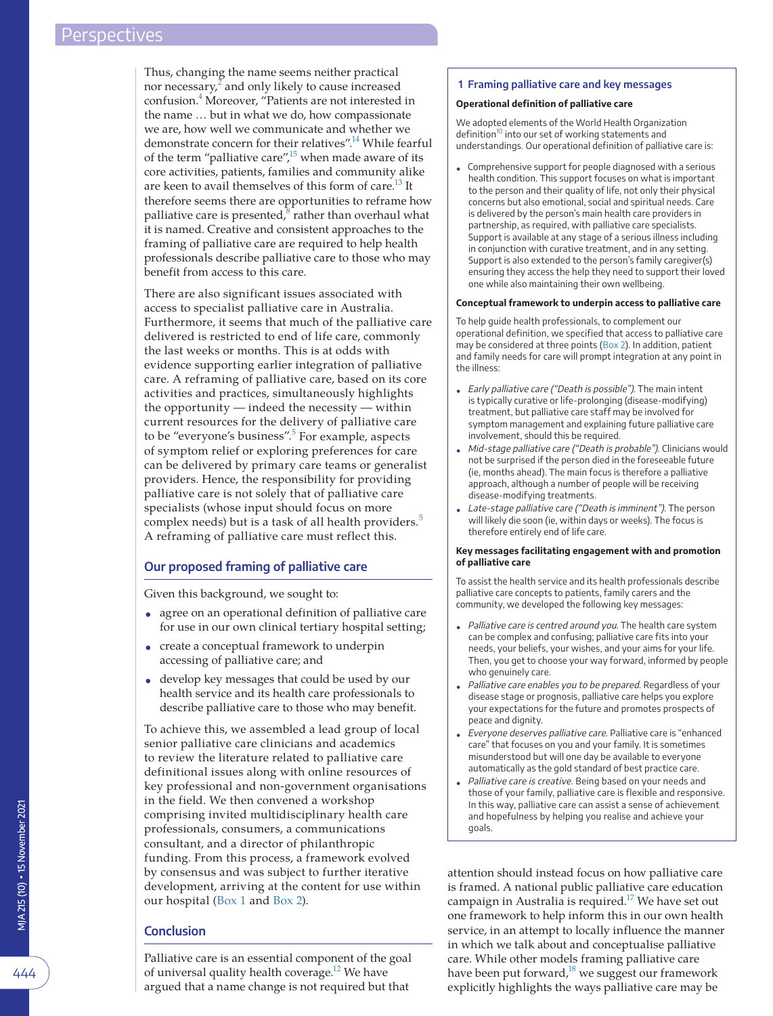Thus, changing the name seems neither practical nor necessary, $\frac{2}{3}$  $\frac{2}{3}$  $\frac{2}{3}$  and only likely to cause increased confusion[.4](#page-3-1) Moreover, "Patients are not interested in the name … but in what we do, how compassionate we are, how well we communicate and whether we demonstrate concern for their relatives".<sup>14</sup> While fearful of the term "palliative care", $^{15}$  when made aware of its core activities, patients, families and community alike are keen to avail themselves of this form of care.<sup>13</sup> It therefore seems there are opportunities to reframe how palliative care is presented, $\delta$  rather than overhaul what it is named. Creative and consistent approaches to the framing of palliative care are required to help health professionals describe palliative care to those who may benefit from access to this care.

There are also significant issues associated with access to specialist palliative care in Australia. Furthermore, it seems that much of the palliative care delivered is restricted to end of life care, commonly the last weeks or months. This is at odds with evidence supporting earlier integration of palliative care. A reframing of palliative care, based on its core activities and practices, simultaneously highlights the opportunity — indeed the necessity — within current resources for the delivery of palliative care to be "everyone's business".<sup>[5](#page-3-2)</sup> For example, aspects of symptom relief or exploring preferences for care can be delivered by primary care teams or generalist providers. Hence, the responsibility for providing palliative care is not solely that of palliative care specialists (whose input should focus on more complex needs) but is a task of all health providers.<sup>[5](#page-3-2)</sup> A reframing of palliative care must reflect this.

### **Our proposed framing of palliative care**

Given this background, we sought to:

- agree on an operational definition of palliative care for use in our own clinical tertiary hospital setting;
- create a conceptual framework to underpin accessing of palliative care; and
- develop key messages that could be used by our health service and its health care professionals to describe palliative care to those who may benefit.

To achieve this, we assembled a lead group of local senior palliative care clinicians and academics to review the literature related to palliative care definitional issues along with online resources of key professional and non-government organisations in the field. We then convened a workshop comprising invited multidisciplinary health care professionals, consumers, a communications consultant, and a director of philanthropic funding. From this process, a framework evolved by consensus and was subject to further iterative development, arriving at the content for use within our hospital [\(Box 1](#page-1-0) and [Box 2\)](#page-2-0).

## **Conclusion**

Palliative care is an essential component of the goal of universal quality health coverage.<sup>12</sup> We have argued that a name change is not required but that

#### <span id="page-1-0"></span>**1 Framing palliative care and key messages**

#### **Operational definition of palliative care**

We adopted elements of the World Health Organization definition<sup>[10](#page-3-13)</sup> into our set of working statements and understandings. Our operational definition of palliative care is:

• Comprehensive support for people diagnosed with a serious health condition. This support focuses on what is important to the person and their quality of life, not only their physical concerns but also emotional, social and spiritual needs. Care is delivered by the person's main health care providers in partnership, as required, with palliative care specialists. Support is available at any stage of a serious illness including in conjunction with curative treatment, and in any setting. Support is also extended to the person's family caregiver(s) ensuring they access the help they need to support their loved one while also maintaining their own wellbeing.

#### **Conceptual framework to underpin access to palliative care**

To help guide health professionals, to complement our operational definition, we specified that access to palliative care may be considered at three points [\(Box 2\)](#page-2-0). In addition, patient and family needs for care will prompt integration at any point in the illness:

- Early palliative care ("Death is possible"). The main intent is typically curative or life-prolonging (disease-modifying) treatment, but palliative care staff may be involved for symptom management and explaining future palliative care involvement, should this be required.
- Mid-stage palliative care ("Death is probable"). Clinicians would not be surprised if the person died in the foreseeable future (ie, months ahead). The main focus is therefore a palliative approach, although a number of people will be receiving disease-modifying treatments.
- Late-stage palliative care ("Death is imminent"). The person will likely die soon (ie, within days or weeks). The focus is therefore entirely end of life care.

#### **Key messages facilitating engagement with and promotion of palliative care**

To assist the health service and its health professionals describe palliative care concepts to patients, family carers and the community, we developed the following key messages:

- Palliative care is centred around you. The health care system can be complex and confusing; palliative care fits into your needs, your beliefs, your wishes, and your aims for your life. Then, you get to choose your way forward, informed by people who genuinely care.
- Palliative care enables you to be prepared. Regardless of your disease stage or prognosis, palliative care helps you explore your expectations for the future and promotes prospects of peace and dignity.
- Everyone deserves palliative care. Palliative care is "enhanced care" that focuses on you and your family. It is sometimes misunderstood but will one day be available to everyone automatically as the gold standard of best practice care.
- Palliative care is creative. Being based on your needs and those of your family, palliative care is flexible and responsive. In this way, palliative care can assist a sense of achievement and hopefulness by helping you realise and achieve your goals.

attention should instead focus on how palliative care is framed. A national public palliative care education campaign in Australia is required.<sup>17</sup> We have set out one framework to help inform this in our own health service, in an attempt to locally influence the manner in which we talk about and conceptualise palliative care. While other models framing palliative care have been put forward, $18$  we suggest our framework explicitly highlights the ways palliative care may be

444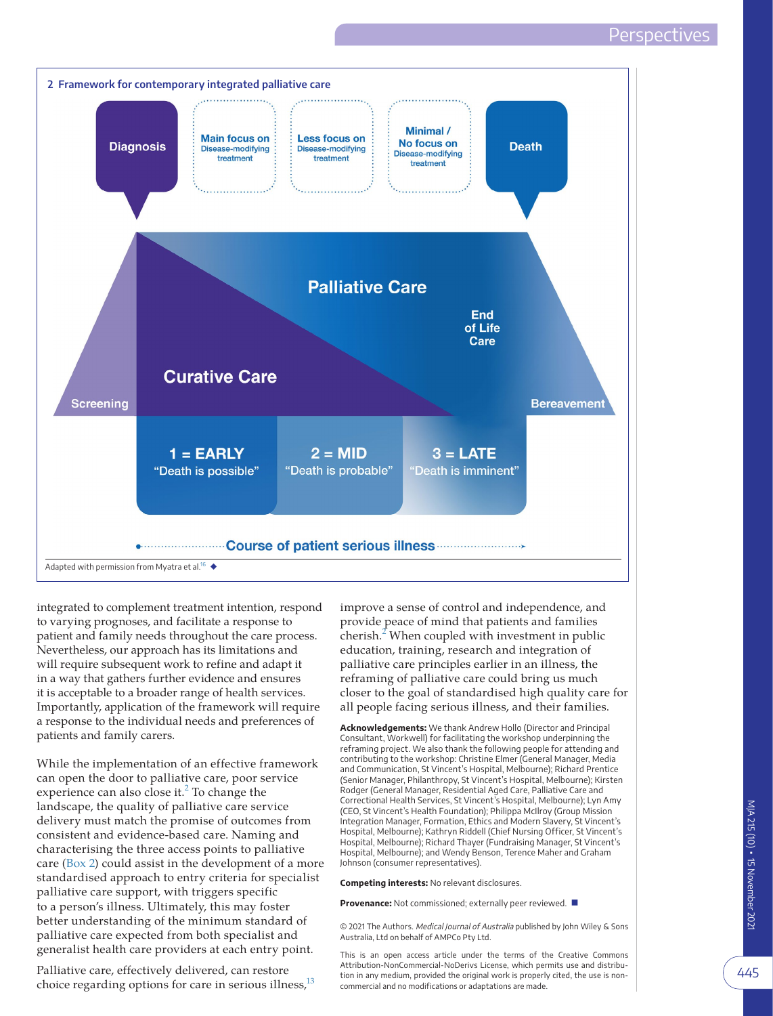<span id="page-2-0"></span>

integrated to complement treatment intention, respond to varying prognoses, and facilitate a response to patient and family needs throughout the care process. Nevertheless, our approach has its limitations and will require subsequent work to refine and adapt it in a way that gathers further evidence and ensures it is acceptable to a broader range of health services. Importantly, application of the framework will require a response to the individual needs and preferences of patients and family carers.

While the implementation of an effective framework can open the door to palliative care, poor service experience can also close it.<sup>[2](#page-3-7)</sup> To change the landscape, the quality of palliative care service delivery must match the promise of outcomes from consistent and evidence-based care. Naming and characterising the three access points to palliative care ([Box 2\)](#page-2-0) could assist in the development of a more standardised approach to entry criteria for specialist palliative care support, with triggers specific to a person's illness. Ultimately, this may foster better understanding of the minimum standard of palliative care expected from both specialist and generalist health care providers at each entry point.

Palliative care, effectively delivered, can restore choice regarding options for care in serious illness,<sup>13</sup> improve a sense of control and independence, and provide peace of mind that patients and families cherish. $2$  When coupled with investment in public education, training, research and integration of palliative care principles earlier in an illness, the reframing of palliative care could bring us much closer to the goal of standardised high quality care for all people facing serious illness, and their families.

**Acknowledgements:** We thank Andrew Hollo (Director and Principal Consultant, Workwell) for facilitating the workshop underpinning the reframing project. We also thank the following people for attending and contributing to the workshop: Christine Elmer (General Manager, Media and Communication, St Vincent's Hospital, Melbourne); Richard Prentice (Senior Manager, Philanthropy, St Vincent's Hospital, Melbourne); Kirsten Rodger (General Manager, Residential Aged Care, Palliative Care and Correctional Health Services, St Vincent's Hospital, Melbourne); Lyn Amy (CEO, St Vincent's Health Foundation); Philippa McIlroy (Group Mission Integration Manager, Formation, Ethics and Modern Slavery, St Vincent's Hospital, Melbourne); Kathryn Riddell (Chief Nursing Officer, St Vincent's Hospital, Melbourne); Richard Thayer (Fundraising Manager, St Vincent's Hospital, Melbourne); and Wendy Benson, Terence Maher and Graham Johnson (consumer representatives).

**Competing interests:** No relevant disclosures.

**Provenance:** Not commissioned; externally peer reviewed. ■

© 2021 The Authors. Medical Journal of Australia published by John Wiley & Sons Australia, Ltd on behalf of AMPCo Pty Ltd.

This is an open access article under the terms of the Creative Commons Attribution-NonCommercial-NoDerivs License, which permits use and distribution in any medium, provided the original work is properly cited, the use is noncommercial and no modifications or adaptations are made.